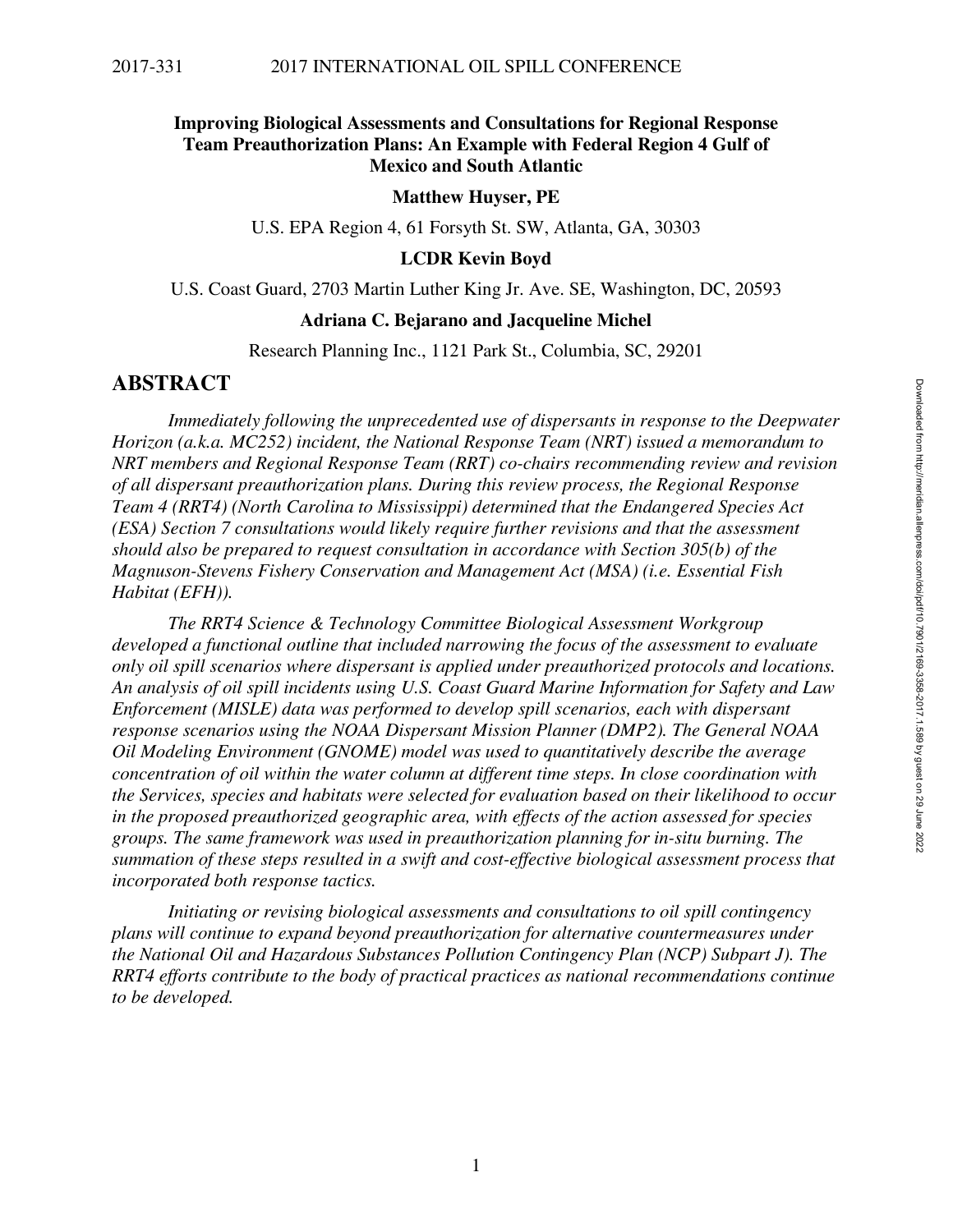## **Improving Biological Assessments and Consultations for Regional Response Team Preauthorization Plans: An Example with Federal Region 4 Gulf of Mexico and South Atlantic**

#### **Matthew Huyser, PE**

U.S. EPA Region 4, 61 Forsyth St. SW, Atlanta, GA, 30303

#### **LCDR Kevin Boyd**

U.S. Coast Guard, 2703 Martin Luther King Jr. Ave. SE, Washington, DC, 20593

#### **Adriana C. Bejarano and Jacqueline Michel**

Research Planning Inc., 1121 Park St., Columbia, SC, 29201

## **ABSTRACT**

*Immediately following the unprecedented use of dispersants in response to the Deepwater Horizon (a.k.a. MC252) incident, the National Response Team (NRT) issued a memorandum to NRT members and Regional Response Team (RRT) co-chairs recommending review and revision of all dispersant preauthorization plans. During this review process, the Regional Response Team 4 (RRT4) (North Carolina to Mississippi) determined that the Endangered Species Act (ESA) Section 7 consultations would likely require further revisions and that the assessment should also be prepared to request consultation in accordance with Section 305(b) of the Magnuson-Stevens Fishery Conservation and Management Act (MSA) (i.e. Essential Fish Habitat (EFH)).* 

*The RRT4 Science & Technology Committee Biological Assessment Workgroup developed a functional outline that included narrowing the focus of the assessment to evaluate only oil spill scenarios where dispersant is applied under preauthorized protocols and locations. An analysis of oil spill incidents using U.S. Coast Guard Marine Information for Safety and Law Enforcement (MISLE) data was performed to develop spill scenarios, each with dispersant response scenarios using the NOAA Dispersant Mission Planner (DMP2). The General NOAA Oil Modeling Environment (GNOME) model was used to quantitatively describe the average concentration of oil within the water column at different time steps. In close coordination with the Services, species and habitats were selected for evaluation based on their likelihood to occur in the proposed preauthorized geographic area, with effects of the action assessed for species groups. The same framework was used in preauthorization planning for in-situ burning. The summation of these steps resulted in a swift and cost-effective biological assessment process that incorporated both response tactics.* 

*Initiating or revising biological assessments and consultations to oil spill contingency plans will continue to expand beyond preauthorization for alternative countermeasures under the National Oil and Hazardous Substances Pollution Contingency Plan (NCP) Subpart J). The RRT4 efforts contribute to the body of practical practices as national recommendations continue to be developed.*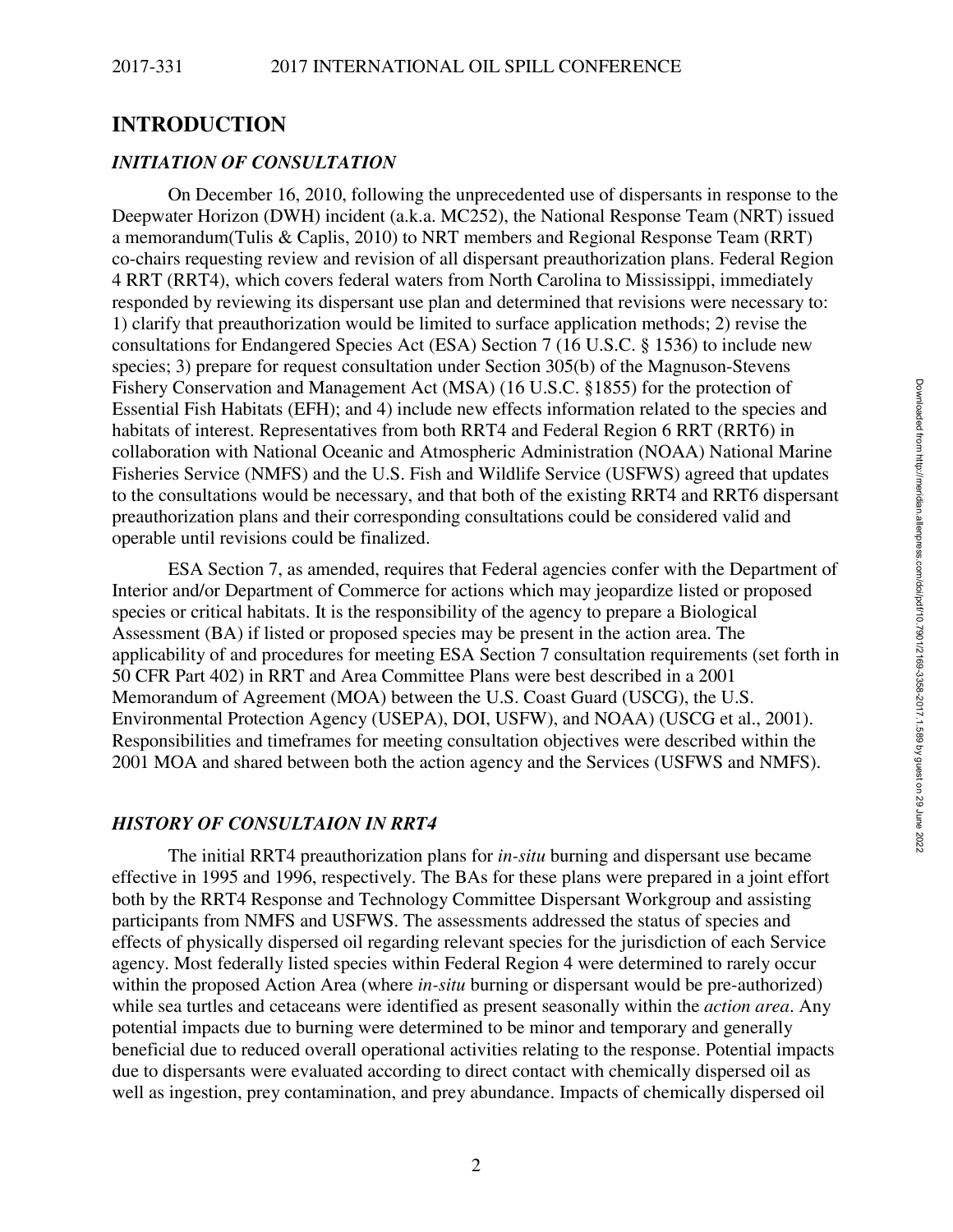## **INTRODUCTION**

### *INITIATION OF CONSULTATION*

On December 16, 2010, following the unprecedented use of dispersants in response to the Deepwater Horizon (DWH) incident (a.k.a. MC252), the National Response Team (NRT) issued a memorandum(Tulis & Caplis, 2010) to NRT members and Regional Response Team (RRT) co-chairs requesting review and revision of all dispersant preauthorization plans. Federal Region 4 RRT (RRT4), which covers federal waters from North Carolina to Mississippi, immediately responded by reviewing its dispersant use plan and determined that revisions were necessary to: 1) clarify that preauthorization would be limited to surface application methods; 2) revise the consultations for Endangered Species Act (ESA) Section 7 (16 U.S.C. § 1536) to include new species; 3) prepare for request consultation under Section 305(b) of the Magnuson-Stevens Fishery Conservation and Management Act (MSA) (16 U.S.C. §1855) for the protection of Essential Fish Habitats (EFH); and 4) include new effects information related to the species and habitats of interest. Representatives from both RRT4 and Federal Region 6 RRT (RRT6) in collaboration with National Oceanic and Atmospheric Administration (NOAA) National Marine Fisheries Service (NMFS) and the U.S. Fish and Wildlife Service (USFWS) agreed that updates to the consultations would be necessary, and that both of the existing RRT4 and RRT6 dispersant preauthorization plans and their corresponding consultations could be considered valid and operable until revisions could be finalized.

ESA Section 7, as amended, requires that Federal agencies confer with the Department of Interior and/or Department of Commerce for actions which may jeopardize listed or proposed species or critical habitats. It is the responsibility of the agency to prepare a Biological Assessment (BA) if listed or proposed species may be present in the action area. The applicability of and procedures for meeting ESA Section 7 consultation requirements (set forth in 50 CFR Part 402) in RRT and Area Committee Plans were best described in a 2001 Memorandum of Agreement (MOA) between the U.S. Coast Guard (USCG), the U.S. Environmental Protection Agency (USEPA), DOI, USFW), and NOAA) (USCG et al., 2001). Responsibilities and timeframes for meeting consultation objectives were described within the 2001 MOA and shared between both the action agency and the Services (USFWS and NMFS).

### *HISTORY OF CONSULTAION IN RRT4*

The initial RRT4 preauthorization plans for *in-situ* burning and dispersant use became effective in 1995 and 1996, respectively. The BAs for these plans were prepared in a joint effort both by the RRT4 Response and Technology Committee Dispersant Workgroup and assisting participants from NMFS and USFWS. The assessments addressed the status of species and effects of physically dispersed oil regarding relevant species for the jurisdiction of each Service agency. Most federally listed species within Federal Region 4 were determined to rarely occur within the proposed Action Area (where *in-situ* burning or dispersant would be pre-authorized) while sea turtles and cetaceans were identified as present seasonally within the *action area*. Any potential impacts due to burning were determined to be minor and temporary and generally beneficial due to reduced overall operational activities relating to the response. Potential impacts due to dispersants were evaluated according to direct contact with chemically dispersed oil as well as ingestion, prey contamination, and prey abundance. Impacts of chemically dispersed oil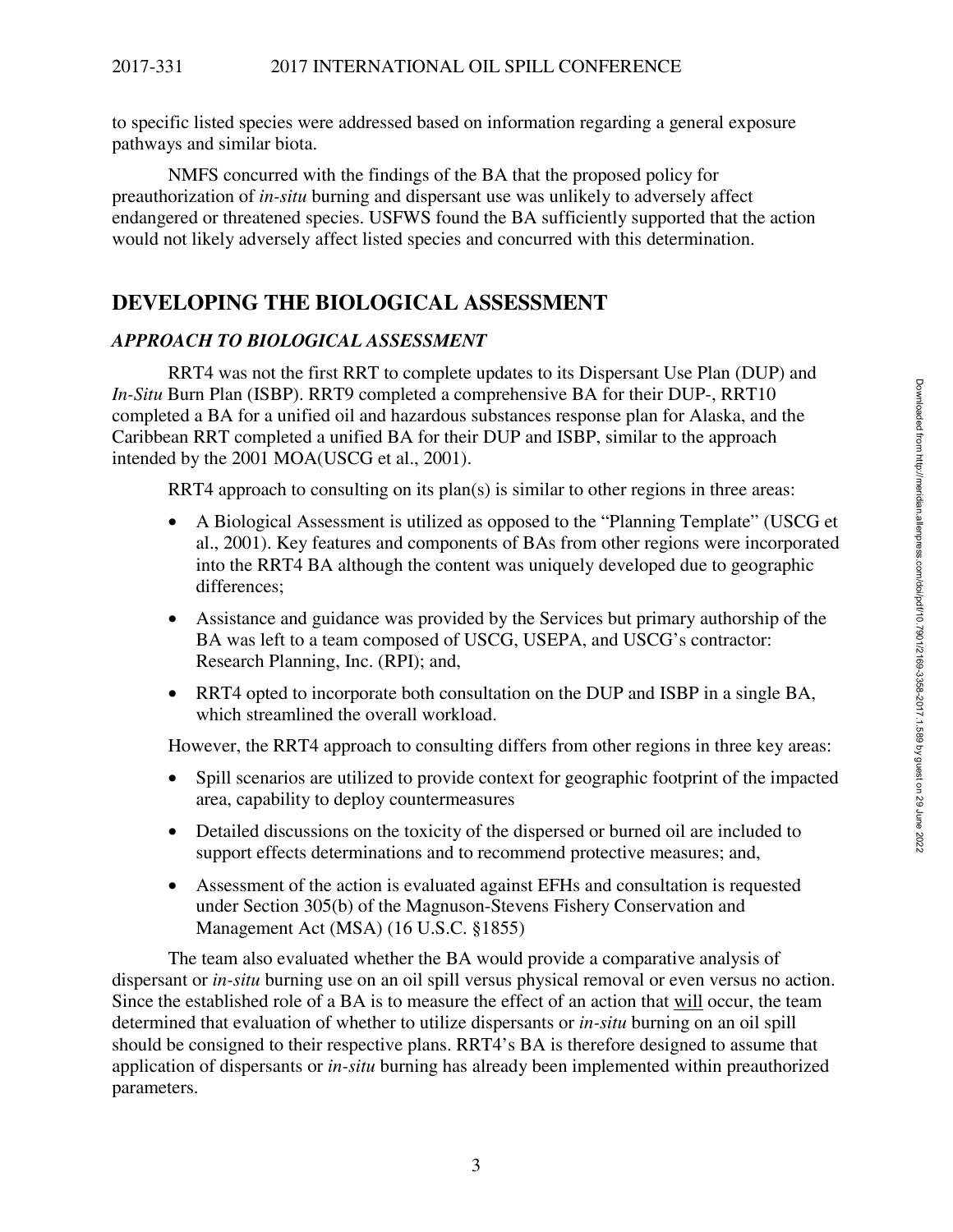to specific listed species were addressed based on information regarding a general exposure pathways and similar biota.

NMFS concurred with the findings of the BA that the proposed policy for preauthorization of *in-situ* burning and dispersant use was unlikely to adversely affect endangered or threatened species. USFWS found the BA sufficiently supported that the action would not likely adversely affect listed species and concurred with this determination.

# **DEVELOPING THE BIOLOGICAL ASSESSMENT**

## *APPROACH TO BIOLOGICAL ASSESSMENT*

RRT4 was not the first RRT to complete updates to its Dispersant Use Plan (DUP) and *In-Situ* Burn Plan (ISBP). RRT9 completed a comprehensive BA for their DUP-, RRT10 completed a BA for a unified oil and hazardous substances response plan for Alaska, and the Caribbean RRT completed a unified BA for their DUP and ISBP, similar to the approach intended by the 2001 MOA(USCG et al., 2001).

RRT4 approach to consulting on its plan(s) is similar to other regions in three areas:

- A Biological Assessment is utilized as opposed to the "Planning Template" (USCG et al., 2001). Key features and components of BAs from other regions were incorporated into the RRT4 BA although the content was uniquely developed due to geographic differences;
- Assistance and guidance was provided by the Services but primary authorship of the BA was left to a team composed of USCG, USEPA, and USCG's contractor: Research Planning, Inc. (RPI); and,
- RRT4 opted to incorporate both consultation on the DUP and ISBP in a single BA, which streamlined the overall workload.

However, the RRT4 approach to consulting differs from other regions in three key areas:

- Spill scenarios are utilized to provide context for geographic footprint of the impacted area, capability to deploy countermeasures
- Detailed discussions on the toxicity of the dispersed or burned oil are included to support effects determinations and to recommend protective measures; and,
- Assessment of the action is evaluated against EFHs and consultation is requested under Section 305(b) of the Magnuson-Stevens Fishery Conservation and Management Act (MSA) (16 U.S.C. §1855)

The team also evaluated whether the BA would provide a comparative analysis of dispersant or *in-situ* burning use on an oil spill versus physical removal or even versus no action. Since the established role of a BA is to measure the effect of an action that will occur, the team determined that evaluation of whether to utilize dispersants or *in-situ* burning on an oil spill should be consigned to their respective plans. RRT4's BA is therefore designed to assume that application of dispersants or *in-situ* burning has already been implemented within preauthorized parameters.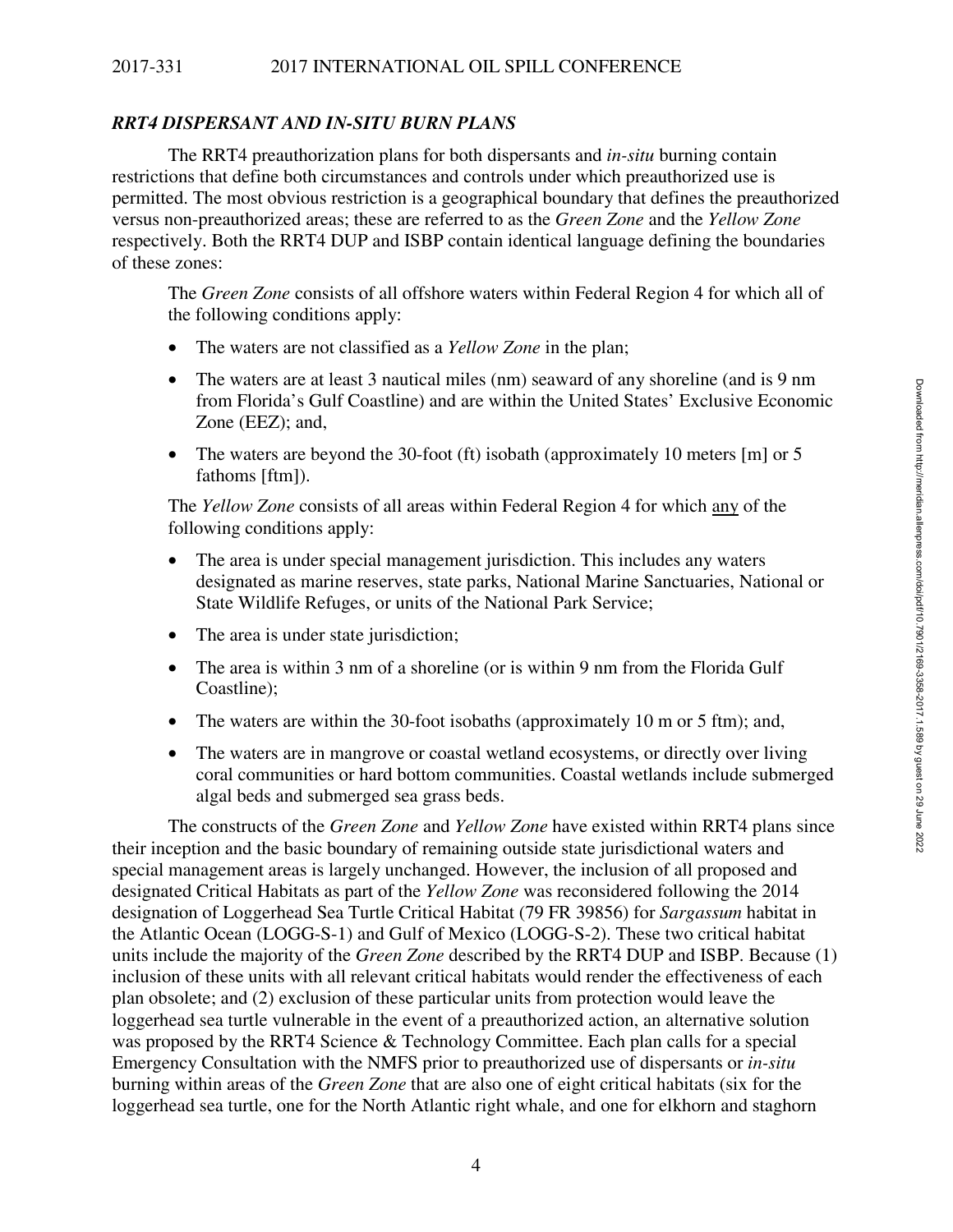## *RRT4 DISPERSANT AND IN-SITU BURN PLANS*

The RRT4 preauthorization plans for both dispersants and *in-situ* burning contain restrictions that define both circumstances and controls under which preauthorized use is permitted. The most obvious restriction is a geographical boundary that defines the preauthorized versus non-preauthorized areas; these are referred to as the *Green Zone* and the *Yellow Zone* respectively. Both the RRT4 DUP and ISBP contain identical language defining the boundaries of these zones:

The *Green Zone* consists of all offshore waters within Federal Region 4 for which all of the following conditions apply:

- The waters are not classified as a *Yellow Zone* in the plan;
- The waters are at least 3 nautical miles (nm) seaward of any shoreline (and is 9 nm from Florida's Gulf Coastline) and are within the United States' Exclusive Economic Zone (EEZ); and,
- The waters are beyond the 30-foot (ft) isobath (approximately 10 meters [m] or 5 fathoms [ftm]).

The *Yellow Zone* consists of all areas within Federal Region 4 for which any of the following conditions apply:

- The area is under special management jurisdiction. This includes any waters designated as marine reserves, state parks, National Marine Sanctuaries, National or State Wildlife Refuges, or units of the National Park Service;
- The area is under state jurisdiction;
- The area is within 3 nm of a shoreline (or is within 9 nm from the Florida Gulf Coastline);
- The waters are within the 30-foot isobaths (approximately 10 m or 5 ftm); and,
- The waters are in mangrove or coastal wetland ecosystems, or directly over living coral communities or hard bottom communities. Coastal wetlands include submerged algal beds and submerged sea grass beds.

The constructs of the *Green Zone* and *Yellow Zone* have existed within RRT4 plans since their inception and the basic boundary of remaining outside state jurisdictional waters and special management areas is largely unchanged. However, the inclusion of all proposed and designated Critical Habitats as part of the *Yellow Zone* was reconsidered following the 2014 designation of Loggerhead Sea Turtle Critical Habitat (79 FR 39856) for *Sargassum* habitat in the Atlantic Ocean (LOGG-S-1) and Gulf of Mexico (LOGG-S-2). These two critical habitat units include the majority of the *Green Zone* described by the RRT4 DUP and ISBP. Because (1) inclusion of these units with all relevant critical habitats would render the effectiveness of each plan obsolete; and (2) exclusion of these particular units from protection would leave the loggerhead sea turtle vulnerable in the event of a preauthorized action, an alternative solution was proposed by the RRT4 Science & Technology Committee. Each plan calls for a special Emergency Consultation with the NMFS prior to preauthorized use of dispersants or *in-situ*  burning within areas of the *Green Zone* that are also one of eight critical habitats (six for the loggerhead sea turtle, one for the North Atlantic right whale, and one for elkhorn and staghorn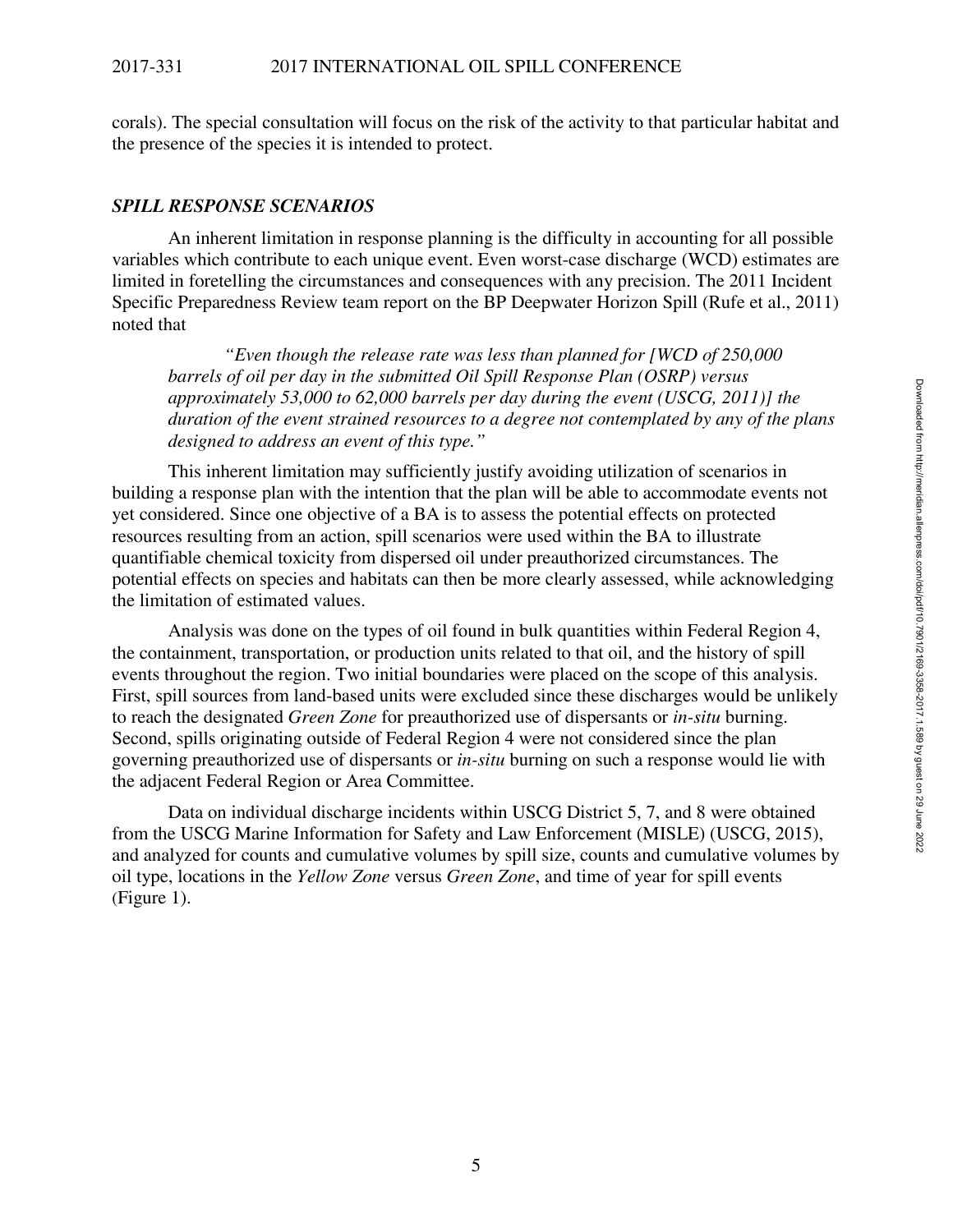corals). The special consultation will focus on the risk of the activity to that particular habitat and the presence of the species it is intended to protect.

#### *SPILL RESPONSE SCENARIOS*

An inherent limitation in response planning is the difficulty in accounting for all possible variables which contribute to each unique event. Even worst-case discharge (WCD) estimates are limited in foretelling the circumstances and consequences with any precision. The 2011 Incident Specific Preparedness Review team report on the BP Deepwater Horizon Spill (Rufe et al., 2011) noted that

*"Even though the release rate was less than planned for [WCD of 250,000 barrels of oil per day in the submitted Oil Spill Response Plan (OSRP) versus approximately 53,000 to 62,000 barrels per day during the event (USCG, 2011)] the duration of the event strained resources to a degree not contemplated by any of the plans designed to address an event of this type."* 

This inherent limitation may sufficiently justify avoiding utilization of scenarios in building a response plan with the intention that the plan will be able to accommodate events not yet considered. Since one objective of a BA is to assess the potential effects on protected resources resulting from an action, spill scenarios were used within the BA to illustrate quantifiable chemical toxicity from dispersed oil under preauthorized circumstances. The potential effects on species and habitats can then be more clearly assessed, while acknowledging the limitation of estimated values.

Analysis was done on the types of oil found in bulk quantities within Federal Region 4, the containment, transportation, or production units related to that oil, and the history of spill events throughout the region. Two initial boundaries were placed on the scope of this analysis. First, spill sources from land-based units were excluded since these discharges would be unlikely to reach the designated *Green Zone* for preauthorized use of dispersants or *in-situ* burning. Second, spills originating outside of Federal Region 4 were not considered since the plan governing preauthorized use of dispersants or *in-situ* burning on such a response would lie with the adjacent Federal Region or Area Committee.

Data on individual discharge incidents within USCG District 5, 7, and 8 were obtained from the USCG Marine Information for Safety and Law Enforcement (MISLE) (USCG, 2015), and analyzed for counts and cumulative volumes by spill size, counts and cumulative volumes by oil type, locations in the *Yellow Zone* versus *Green Zone*, and time of year for spill events (Figure 1).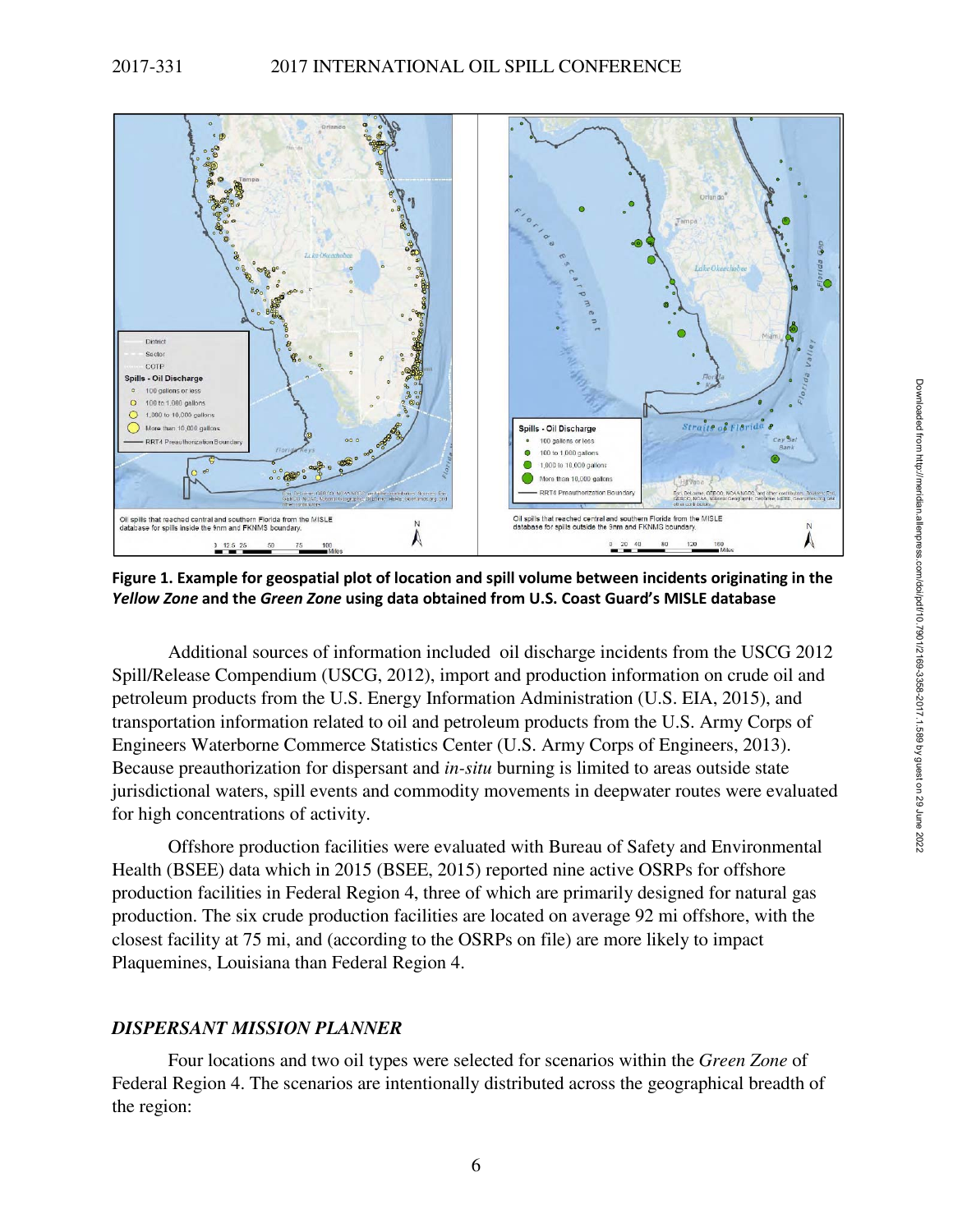

**Figure 1. Example for geospatial plot of location and spill volume between incidents originating in the**  *Yellow Zone* **and the** *Green Zone* **using data obtained from U.S. Coast Guard's MISLE database**

Additional sources of information included oil discharge incidents from the USCG 2012 Spill/Release Compendium (USCG, 2012), import and production information on crude oil and petroleum products from the U.S. Energy Information Administration (U.S. EIA, 2015), and transportation information related to oil and petroleum products from the U.S. Army Corps of Engineers Waterborne Commerce Statistics Center (U.S. Army Corps of Engineers, 2013). Because preauthorization for dispersant and *in-situ* burning is limited to areas outside state jurisdictional waters, spill events and commodity movements in deepwater routes were evaluated for high concentrations of activity.

Offshore production facilities were evaluated with Bureau of Safety and Environmental Health (BSEE) data which in 2015 (BSEE, 2015) reported nine active OSRPs for offshore production facilities in Federal Region 4, three of which are primarily designed for natural gas production. The six crude production facilities are located on average 92 mi offshore, with the closest facility at 75 mi, and (according to the OSRPs on file) are more likely to impact Plaquemines, Louisiana than Federal Region 4.

## *DISPERSANT MISSION PLANNER*

Four locations and two oil types were selected for scenarios within the *Green Zone* of Federal Region 4. The scenarios are intentionally distributed across the geographical breadth of the region: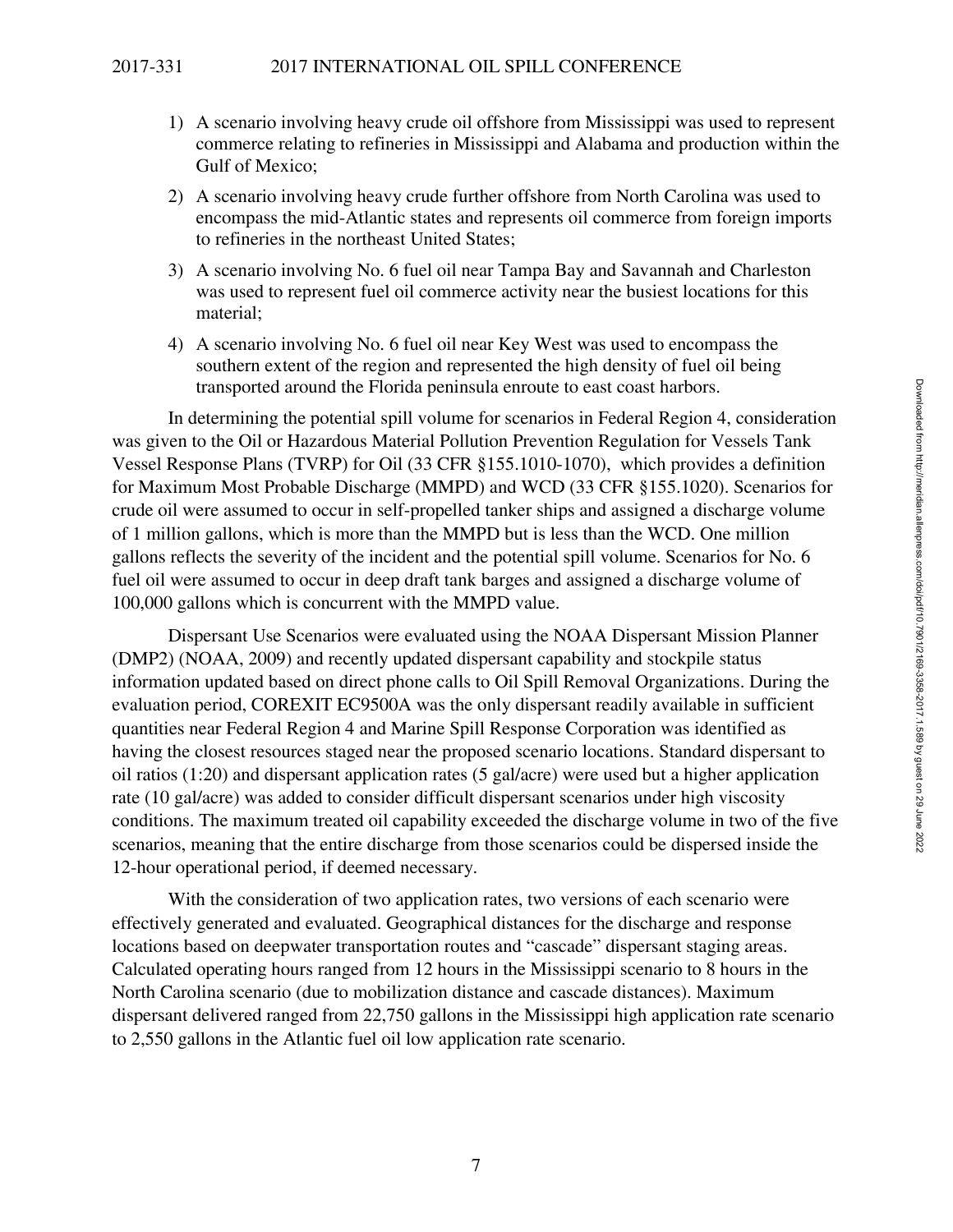- 1) A scenario involving heavy crude oil offshore from Mississippi was used to represent commerce relating to refineries in Mississippi and Alabama and production within the Gulf of Mexico;
- 2) A scenario involving heavy crude further offshore from North Carolina was used to encompass the mid-Atlantic states and represents oil commerce from foreign imports to refineries in the northeast United States;
- 3) A scenario involving No. 6 fuel oil near Tampa Bay and Savannah and Charleston was used to represent fuel oil commerce activity near the busiest locations for this material;
- 4) A scenario involving No. 6 fuel oil near Key West was used to encompass the southern extent of the region and represented the high density of fuel oil being transported around the Florida peninsula enroute to east coast harbors.

In determining the potential spill volume for scenarios in Federal Region 4, consideration was given to the Oil or Hazardous Material Pollution Prevention Regulation for Vessels Tank Vessel Response Plans (TVRP) for Oil (33 CFR §155.1010-1070), which provides a definition for Maximum Most Probable Discharge (MMPD) and WCD (33 CFR §155.1020). Scenarios for crude oil were assumed to occur in self-propelled tanker ships and assigned a discharge volume of 1 million gallons, which is more than the MMPD but is less than the WCD. One million gallons reflects the severity of the incident and the potential spill volume. Scenarios for No. 6 fuel oil were assumed to occur in deep draft tank barges and assigned a discharge volume of 100,000 gallons which is concurrent with the MMPD value.

Dispersant Use Scenarios were evaluated using the NOAA Dispersant Mission Planner (DMP2) (NOAA, 2009) and recently updated dispersant capability and stockpile status information updated based on direct phone calls to Oil Spill Removal Organizations. During the evaluation period, COREXIT EC9500A was the only dispersant readily available in sufficient quantities near Federal Region 4 and Marine Spill Response Corporation was identified as having the closest resources staged near the proposed scenario locations. Standard dispersant to oil ratios (1:20) and dispersant application rates (5 gal/acre) were used but a higher application rate (10 gal/acre) was added to consider difficult dispersant scenarios under high viscosity conditions. The maximum treated oil capability exceeded the discharge volume in two of the five scenarios, meaning that the entire discharge from those scenarios could be dispersed inside the 12-hour operational period, if deemed necessary.

With the consideration of two application rates, two versions of each scenario were effectively generated and evaluated. Geographical distances for the discharge and response locations based on deepwater transportation routes and "cascade" dispersant staging areas. Calculated operating hours ranged from 12 hours in the Mississippi scenario to 8 hours in the North Carolina scenario (due to mobilization distance and cascade distances). Maximum dispersant delivered ranged from 22,750 gallons in the Mississippi high application rate scenario to 2,550 gallons in the Atlantic fuel oil low application rate scenario.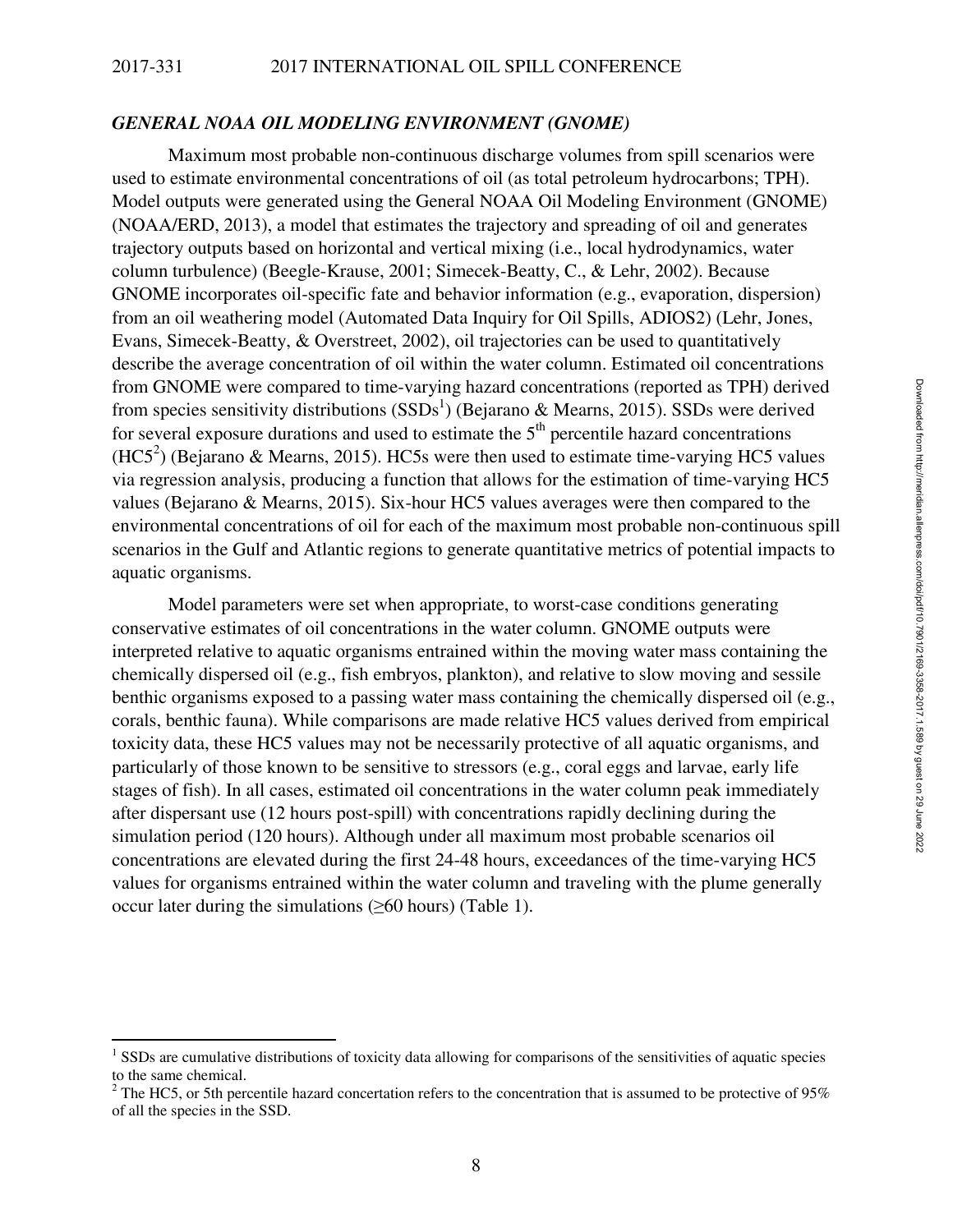#### *GENERAL NOAA OIL MODELING ENVIRONMENT (GNOME)*

Maximum most probable non-continuous discharge volumes from spill scenarios were used to estimate environmental concentrations of oil (as total petroleum hydrocarbons; TPH). Model outputs were generated using the General NOAA Oil Modeling Environment (GNOME) (NOAA/ERD, 2013), a model that estimates the trajectory and spreading of oil and generates trajectory outputs based on horizontal and vertical mixing (i.e., local hydrodynamics, water column turbulence) (Beegle-Krause, 2001; Simecek-Beatty, C., & Lehr, 2002). Because GNOME incorporates oil-specific fate and behavior information (e.g., evaporation, dispersion) from an oil weathering model (Automated Data Inquiry for Oil Spills, ADIOS2) (Lehr, Jones, Evans, Simecek-Beatty, & Overstreet, 2002), oil trajectories can be used to quantitatively describe the average concentration of oil within the water column. Estimated oil concentrations from GNOME were compared to time-varying hazard concentrations (reported as TPH) derived from species sensitivity distributions  $(SSDs<sup>1</sup>)$  (Bejarano & Mearns, 2015). SSDs were derived for several exposure durations and used to estimate the  $5<sup>th</sup>$  percentile hazard concentrations  $(HCS<sup>2</sup>)$  (Bejarano & Mearns, 2015). HC5s were then used to estimate time-varying HC5 values via regression analysis, producing a function that allows for the estimation of time-varying HC5 values (Bejarano & Mearns, 2015). Six-hour HC5 values averages were then compared to the environmental concentrations of oil for each of the maximum most probable non-continuous spill scenarios in the Gulf and Atlantic regions to generate quantitative metrics of potential impacts to aquatic organisms.

Model parameters were set when appropriate, to worst-case conditions generating conservative estimates of oil concentrations in the water column. GNOME outputs were interpreted relative to aquatic organisms entrained within the moving water mass containing the chemically dispersed oil (e.g., fish embryos, plankton), and relative to slow moving and sessile benthic organisms exposed to a passing water mass containing the chemically dispersed oil (e.g., corals, benthic fauna). While comparisons are made relative HC5 values derived from empirical toxicity data, these HC5 values may not be necessarily protective of all aquatic organisms, and particularly of those known to be sensitive to stressors (e.g., coral eggs and larvae, early life stages of fish). In all cases, estimated oil concentrations in the water column peak immediately after dispersant use (12 hours post-spill) with concentrations rapidly declining during the simulation period (120 hours). Although under all maximum most probable scenarios oil concentrations are elevated during the first 24-48 hours, exceedances of the time-varying HC5 values for organisms entrained within the water column and traveling with the plume generally occur later during the simulations  $(\geq 60$  hours) (Table 1).

l

<sup>&</sup>lt;sup>1</sup> SSDs are cumulative distributions of toxicity data allowing for comparisons of the sensitivities of aquatic species to the same chemical.

<sup>&</sup>lt;sup>2</sup> The HC5, or 5th percentile hazard concertation refers to the concentration that is assumed to be protective of 95% of all the species in the SSD.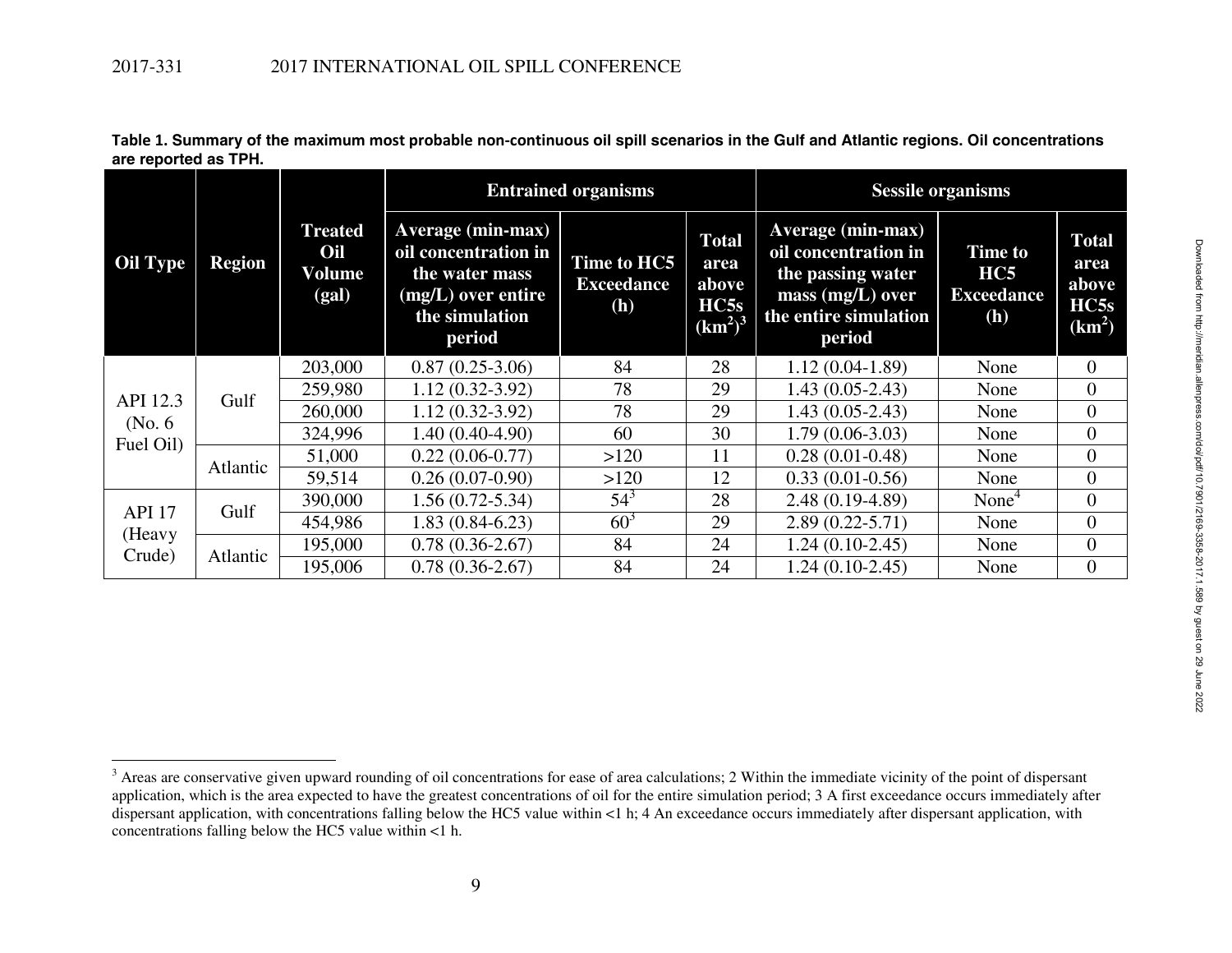| <b>Oil Type</b>                   | <b>Region</b> | <b>Treated</b><br>Oil<br>Volume<br>(gal) |                                                                                                               | <b>Entrained organisms</b>              | <b>Sessile organisms</b>                                                 |                                                                                                                         |                                                          |                                                   |
|-----------------------------------|---------------|------------------------------------------|---------------------------------------------------------------------------------------------------------------|-----------------------------------------|--------------------------------------------------------------------------|-------------------------------------------------------------------------------------------------------------------------|----------------------------------------------------------|---------------------------------------------------|
|                                   |               |                                          | Average (min-max)<br>oil concentration in<br>the water mass<br>(mg/L) over entire<br>the simulation<br>period | Time to HC5<br><b>Exceedance</b><br>(h) | <b>Total</b><br>area<br>above<br>HC5s<br>(km <sup>2</sup> ) <sup>3</sup> | Average (min-max)<br>oil concentration in<br>the passing water<br>mass $(mg/L)$ over<br>the entire simulation<br>period | <b>Time to</b><br>HC5<br><b>Exceedance</b><br><b>(h)</b> | <b>Total</b><br>area<br>above<br>HC5s<br>$(km^2)$ |
| API 12.3<br>(No. 6)<br>Fuel Oil)  | Gulf          | 203,000                                  | $0.87(0.25-3.06)$                                                                                             | 84                                      | 28                                                                       | $1.12(0.04-1.89)$                                                                                                       | None                                                     | $\overline{0}$                                    |
|                                   |               | 259,980                                  | $1.12(0.32-3.92)$                                                                                             | 78                                      | 29                                                                       | $1.43(0.05-2.43)$                                                                                                       | None                                                     | $\mathbf{0}$                                      |
|                                   |               | 260,000                                  | $1.12(0.32-3.92)$                                                                                             | 78                                      | 29                                                                       | $1.43(0.05-2.43)$                                                                                                       | None                                                     | $\overline{0}$                                    |
|                                   |               | 324,996                                  | $1.40(0.40-4.90)$                                                                                             | 60                                      | 30                                                                       | $1.79(0.06-3.03)$                                                                                                       | None                                                     | $\overline{0}$                                    |
|                                   | Atlantic      | 51,000                                   | $0.22(0.06-0.77)$                                                                                             | >120                                    | 11                                                                       | $0.28(0.01 - 0.48)$                                                                                                     | None                                                     | $\overline{0}$                                    |
|                                   |               | 59,514                                   | $0.26(0.07-0.90)$                                                                                             | >120                                    | 12                                                                       | $0.33(0.01-0.56)$                                                                                                       | None                                                     | $\Omega$                                          |
| <b>API 17</b><br>(Heavy<br>Crude) | Gulf          | 390,000                                  | $1.56(0.72 - 5.34)$                                                                                           | $54^3$                                  | 28                                                                       | $2.48(0.19-4.89)$                                                                                                       | None <sup>4</sup>                                        | $\overline{0}$                                    |
|                                   |               | 454,986                                  | $1.83(0.84-6.23)$                                                                                             | $60^3$                                  | 29                                                                       | $2.89(0.22 - 5.71)$                                                                                                     | None                                                     | $\overline{0}$                                    |
|                                   | Atlantic      | 195,000                                  | $0.78(0.36-2.67)$                                                                                             | 84                                      | 24                                                                       | $1.24(0.10-2.45)$                                                                                                       | None                                                     | $\overline{0}$                                    |
|                                   |               | 195,006                                  | $0.78(0.36-2.67)$                                                                                             | 84                                      | 24                                                                       | $1.24(0.10-2.45)$                                                                                                       | None                                                     | $\overline{0}$                                    |

**Table 1. Summary of the maximum most probable non-continuous oil spill scenarios in the Gulf and Atlantic regions. Oil concentrations are reported as TPH.**

<sup>&</sup>lt;sup>3</sup> Areas are conservative given upward rounding of oil concentrations for ease of area calculations; 2 Within the immediate vicinity of the point of dispersant application, which is the area expected to have the greatest concentrations of oil for the entire simulation period; 3 A first exceedance occurs immediately after dispersant application, with concentrations falling below the HC5 value within <1 h; 4 An exceedance occurs immediately after dispersant application, with concentrations falling below the HC5 value within <1 h.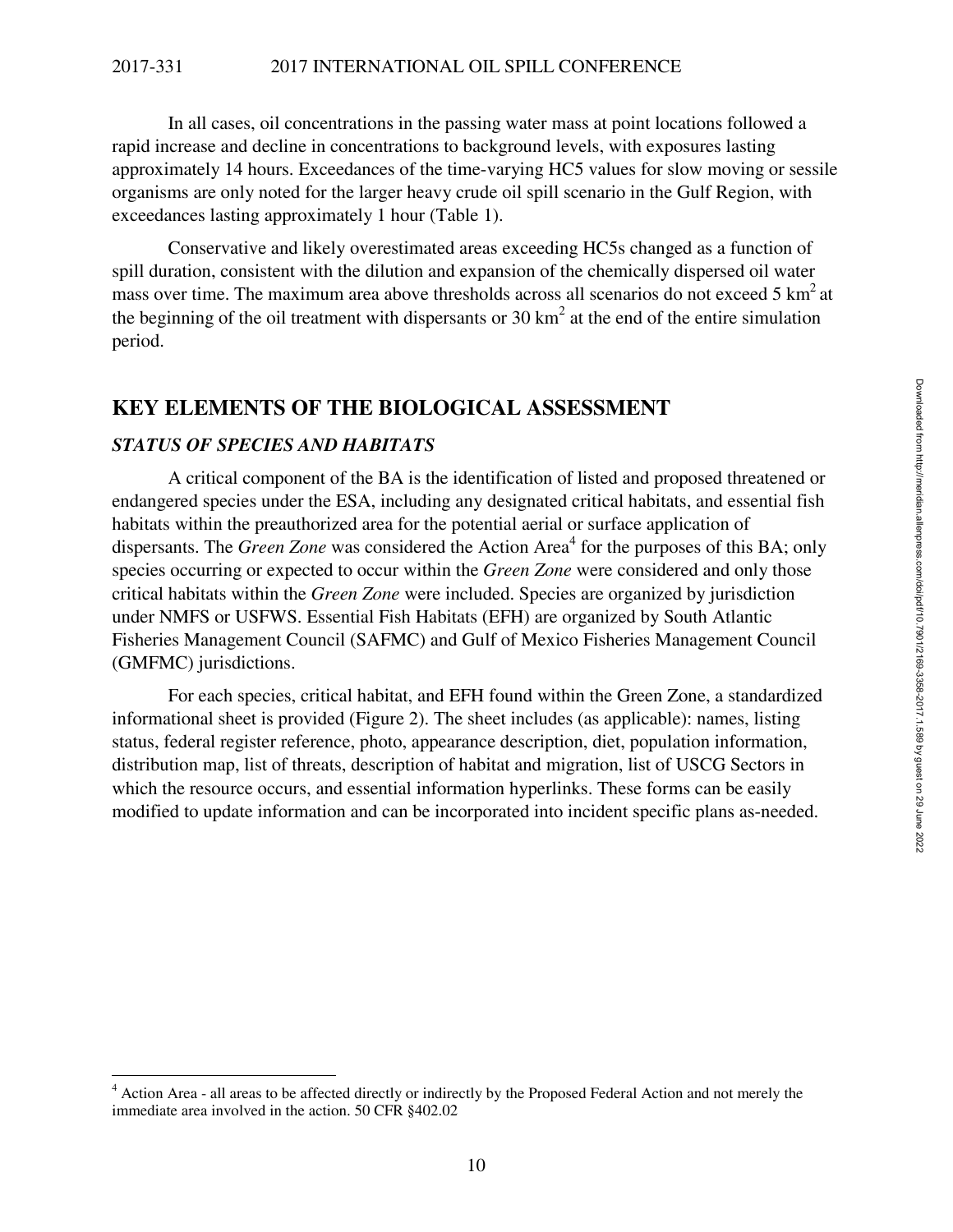In all cases, oil concentrations in the passing water mass at point locations followed a rapid increase and decline in concentrations to background levels, with exposures lasting approximately 14 hours. Exceedances of the time-varying HC5 values for slow moving or sessile organisms are only noted for the larger heavy crude oil spill scenario in the Gulf Region, with exceedances lasting approximately 1 hour (Table 1).

Conservative and likely overestimated areas exceeding HC5s changed as a function of spill duration, consistent with the dilution and expansion of the chemically dispersed oil water mass over time. The maximum area above thresholds across all scenarios do not exceed 5  $\text{km}^2$  at the beginning of the oil treatment with dispersants or 30  $km<sup>2</sup>$  at the end of the entire simulation period.

## **KEY ELEMENTS OF THE BIOLOGICAL ASSESSMENT**

#### *STATUS OF SPECIES AND HABITATS*

A critical component of the BA is the identification of listed and proposed threatened or endangered species under the ESA, including any designated critical habitats, and essential fish habitats within the preauthorized area for the potential aerial or surface application of dispersants. The *Green Zone* was considered the Action Area<sup>4</sup> for the purposes of this BA; only species occurring or expected to occur within the *Green Zone* were considered and only those critical habitats within the *Green Zone* were included. Species are organized by jurisdiction under NMFS or USFWS. Essential Fish Habitats (EFH) are organized by South Atlantic Fisheries Management Council (SAFMC) and Gulf of Mexico Fisheries Management Council (GMFMC) jurisdictions.

For each species, critical habitat, and EFH found within the Green Zone, a standardized informational sheet is provided (Figure 2). The sheet includes (as applicable): names, listing status, federal register reference, photo, appearance description, diet, population information, distribution map, list of threats, description of habitat and migration, list of USCG Sectors in which the resource occurs, and essential information hyperlinks. These forms can be easily modified to update information and can be incorporated into incident specific plans as-needed.

<sup>&</sup>lt;sup>4</sup> Action Area - all areas to be affected directly or indirectly by the Proposed Federal Action and not merely the immediate area involved in the action. 50 CFR §402.02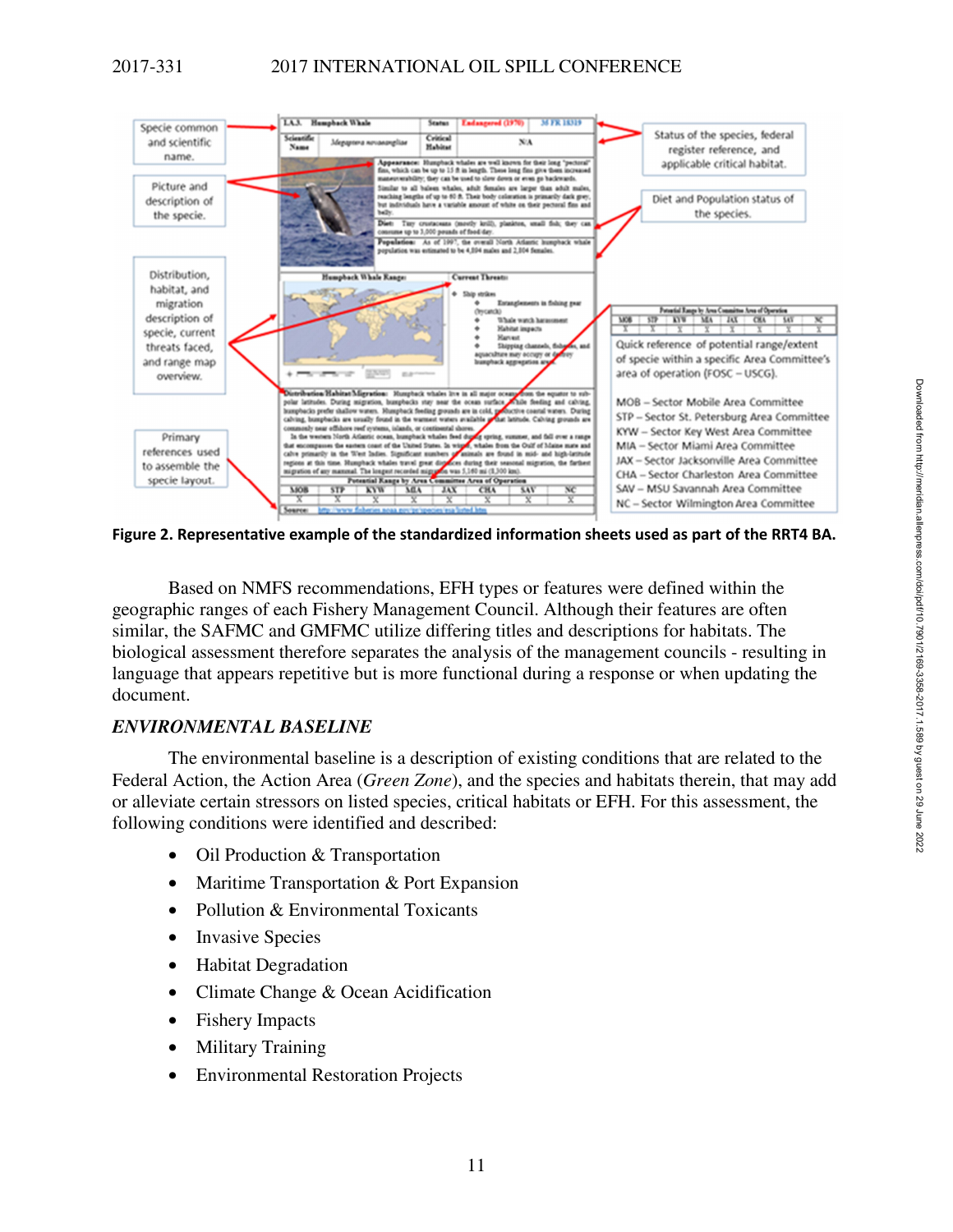

**Figure 2. Representative example of the standardized information sheets used as part of the RRT4 BA.** 

Based on NMFS recommendations, EFH types or features were defined within the geographic ranges of each Fishery Management Council. Although their features are often similar, the SAFMC and GMFMC utilize differing titles and descriptions for habitats. The biological assessment therefore separates the analysis of the management councils - resulting in language that appears repetitive but is more functional during a response or when updating the document.

## *ENVIRONMENTAL BASELINE*

The environmental baseline is a description of existing conditions that are related to the Federal Action, the Action Area (*Green Zone*), and the species and habitats therein, that may add or alleviate certain stressors on listed species, critical habitats or EFH. For this assessment, the following conditions were identified and described:

- Oil Production & Transportation
- Maritime Transportation & Port Expansion
- Pollution & Environmental Toxicants
- Invasive Species
- Habitat Degradation
- Climate Change & Ocean Acidification
- Fishery Impacts
- Military Training
- Environmental Restoration Projects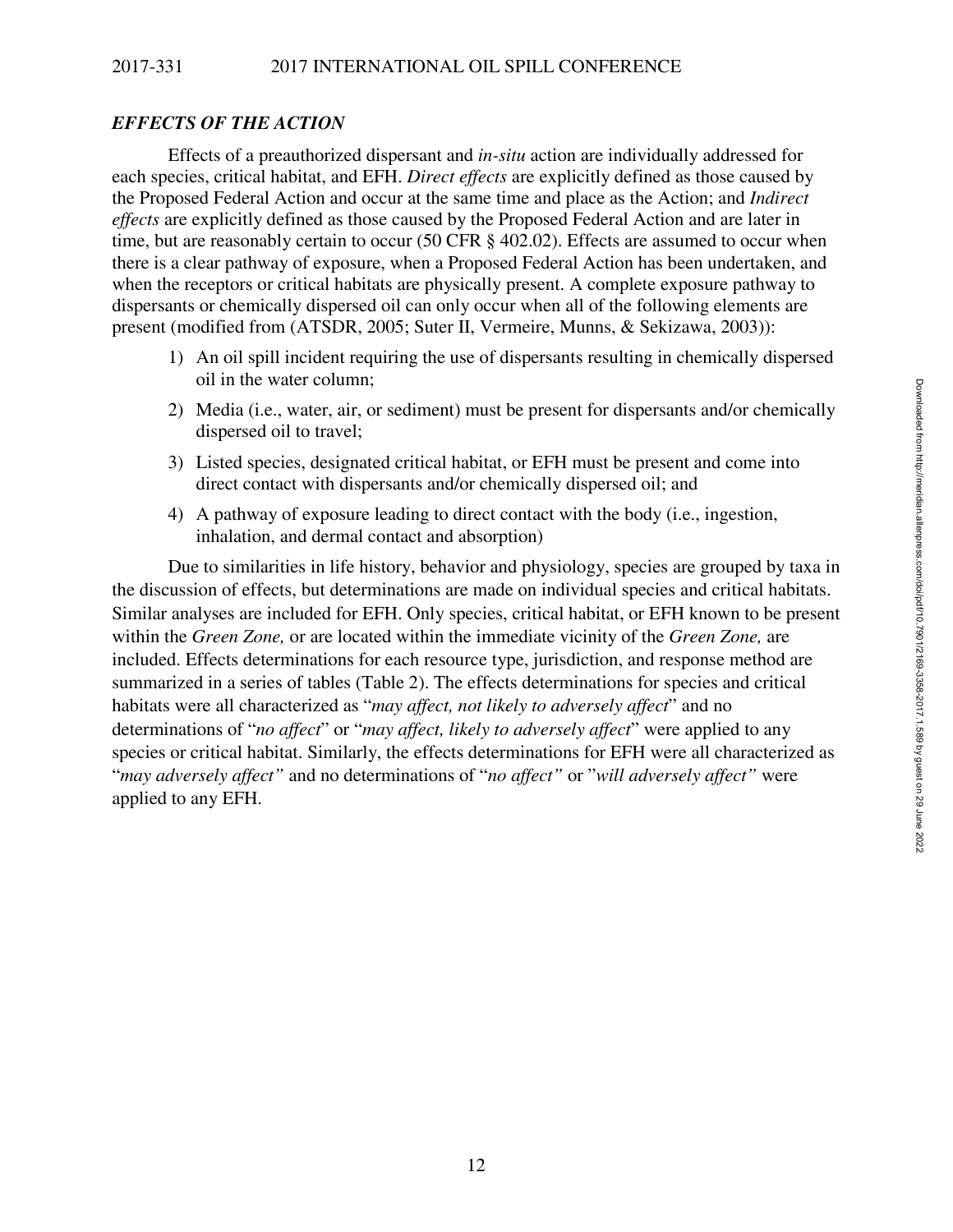### *EFFECTS OF THE ACTION*

Effects of a preauthorized dispersant and *in-situ* action are individually addressed for each species, critical habitat, and EFH. *Direct effects* are explicitly defined as those caused by the Proposed Federal Action and occur at the same time and place as the Action; and *Indirect effects* are explicitly defined as those caused by the Proposed Federal Action and are later in time, but are reasonably certain to occur (50 CFR  $\frac{8402.02}{2}$ ). Effects are assumed to occur when there is a clear pathway of exposure, when a Proposed Federal Action has been undertaken, and when the receptors or critical habitats are physically present. A complete exposure pathway to dispersants or chemically dispersed oil can only occur when all of the following elements are present (modified from (ATSDR, 2005; Suter II, Vermeire, Munns, & Sekizawa, 2003)):

- 1) An oil spill incident requiring the use of dispersants resulting in chemically dispersed oil in the water column;
- 2) Media (i.e., water, air, or sediment) must be present for dispersants and/or chemically dispersed oil to travel;
- 3) Listed species, designated critical habitat, or EFH must be present and come into direct contact with dispersants and/or chemically dispersed oil; and
- 4) A pathway of exposure leading to direct contact with the body (i.e., ingestion, inhalation, and dermal contact and absorption)

Due to similarities in life history, behavior and physiology, species are grouped by taxa in the discussion of effects, but determinations are made on individual species and critical habitats. Similar analyses are included for EFH. Only species, critical habitat, or EFH known to be present within the *Green Zone,* or are located within the immediate vicinity of the *Green Zone,* are included. Effects determinations for each resource type, jurisdiction, and response method are summarized in a series of tables (Table 2). The effects determinations for species and critical habitats were all characterized as "*may affect, not likely to adversely affect*" and no determinations of "*no affect*" or "*may affect, likely to adversely affect*" were applied to any species or critical habitat. Similarly, the effects determinations for EFH were all characterized as "*may adversely affect"* and no determinations of "*no affect"* or "*will adversely affect"* were applied to any EFH.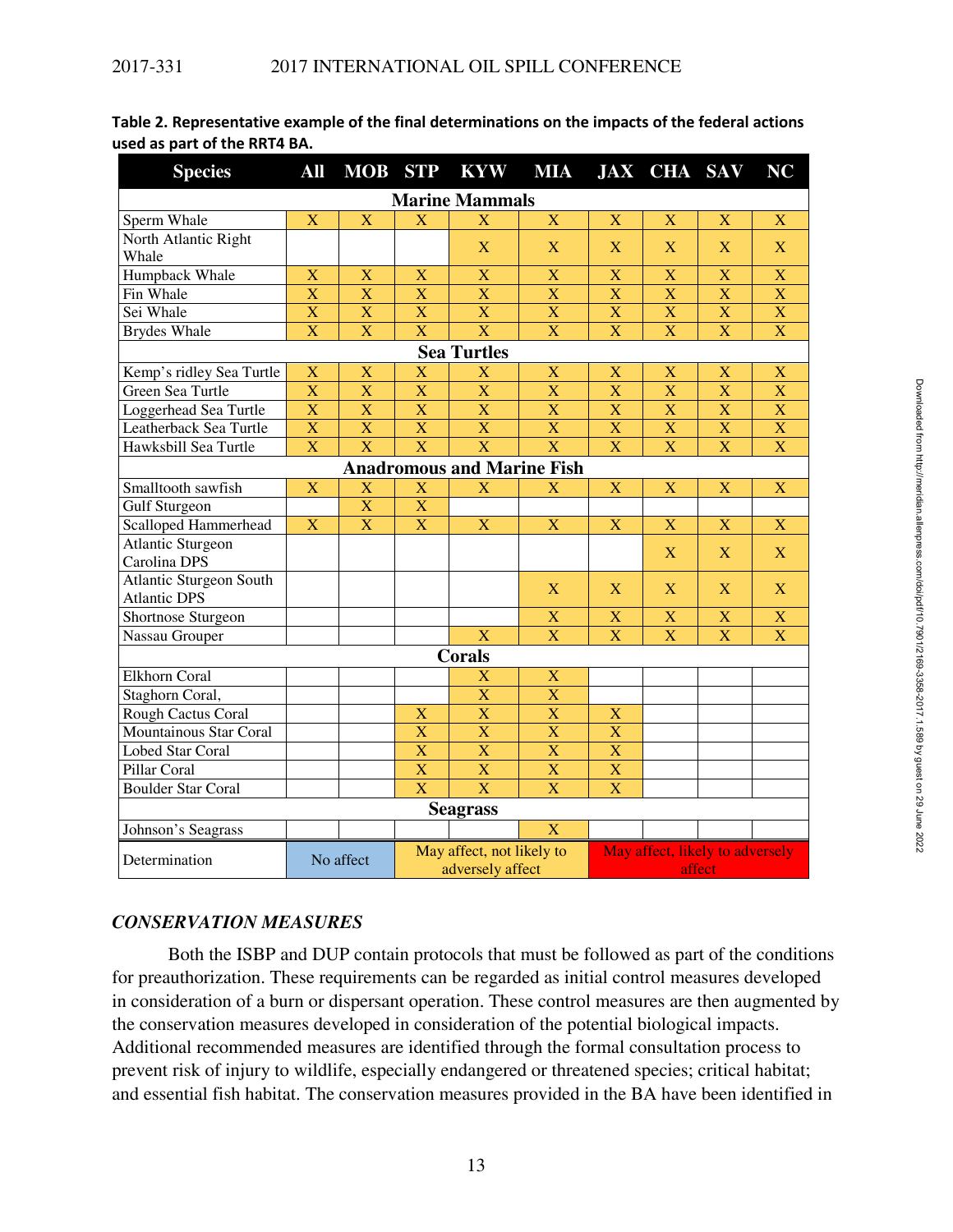| <b>Species</b>                 | All                       | <b>MOB</b>                | <b>STP</b>                                    | <b>KYW</b>                        | <b>MIA</b>              |                                           | <b>JAX CHA SAV</b>    |                         | <b>NC</b>               |  |  |  |
|--------------------------------|---------------------------|---------------------------|-----------------------------------------------|-----------------------------------|-------------------------|-------------------------------------------|-----------------------|-------------------------|-------------------------|--|--|--|
| <b>Marine Mammals</b>          |                           |                           |                                               |                                   |                         |                                           |                       |                         |                         |  |  |  |
| Sperm Whale                    | $\overline{\mathbf{X}}$   | $\overline{\mathbf{X}}$   | $\overline{\mathbf{X}}$                       | X                                 | $\mathbf X$             | $\mathbf X$                               | $\bf{X}$              | $\mathbf X$             | $\mathbf X$             |  |  |  |
| North Atlantic Right           |                           |                           |                                               | X                                 | $\mathbf{X}$            | X                                         | $\overline{X}$        | X                       | $\mathbf{X}$            |  |  |  |
| Whale                          |                           |                           |                                               |                                   |                         |                                           |                       |                         |                         |  |  |  |
| Humpback Whale                 | X                         | $\overline{X}$            | X                                             | $\mathbf X$                       | $\mathbf X$             | $\mathbf X$                               | X                     | $\mathbf X$             | $\mathbf X$             |  |  |  |
| Fin Whale                      | $\overline{\text{X}}$     | $\bar{X}$                 | X                                             | $\overline{\mathbf{X}}$           | $\overline{\mathbf{X}}$ | $\overline{\mathbf{X}}$                   | X                     | $\overline{\mathbf{X}}$ | $\mathbf X$             |  |  |  |
| Sei Whale                      | $\overline{X}$            | $\bar{X}$                 | X                                             | $\overline{\mathbf{X}}$           | $\mathbf X$             | $\overline{X}$                            | X                     | $\overline{\mathbf{X}}$ | $\mathbf X$             |  |  |  |
| <b>Brydes Whale</b>            | X                         | $\mathbf X$               | $\overline{\mathbf{X}}$                       | $\overline{\mathbf{X}}$           | $\mathbf X$             | $\mathbf X$                               | X                     | $\mathbf X$             | $\mathbf X$             |  |  |  |
|                                |                           |                           |                                               | <b>Sea Turtles</b>                |                         |                                           |                       |                         |                         |  |  |  |
| Kemp's ridley Sea Turtle       | $\boldsymbol{\mathrm{X}}$ | $\boldsymbol{\mathrm{X}}$ | $\mathbf X$                                   | X                                 | X                       | X                                         | X                     | X                       | $\mathbf X$             |  |  |  |
| Green Sea Turtle               | X                         | $\overline{\text{X}}$     | $\overline{\text{X}}$                         | $\overline{\mathbf{X}}$           | $\overline{\mathbf{X}}$ | X                                         | X                     | X                       | $\bar{X}$               |  |  |  |
| Loggerhead Sea Turtle          | $\overline{\text{X}}$     | $\bar{X}$                 | $\overline{\text{X}}$                         | $\overline{\mathbf{X}}$           | $\overline{\mathbf{X}}$ | $\bar{X}$                                 | X                     | $\overline{\mathbf{X}}$ | $\overline{\mathbf{X}}$ |  |  |  |
| Leatherback Sea Turtle         | $\overline{\text{X}}$     | $\overline{\text{X}}$     | $\overline{X}$                                | $\overline{\mathbf{X}}$           | $\overline{\mathbf{X}}$ | $\overline{\mathbf{X}}$                   | X                     | $\overline{\mathbf{X}}$ | $\overline{\mathbf{X}}$ |  |  |  |
| Hawksbill Sea Turtle           | X                         | $\overline{\mathbf{X}}$   | X                                             | $\overline{\mathbf{X}}$           | $\overline{\mathbf{X}}$ | X                                         | $\mathbf X$           | $\mathbf X$             | $\mathbf X$             |  |  |  |
|                                |                           |                           |                                               | <b>Anadromous and Marine Fish</b> |                         |                                           |                       |                         |                         |  |  |  |
| Smalltooth sawfish             | $\mathbf X$               | $\mathbf X$               | X                                             | X                                 | X                       | X                                         | $\mathbf X$           | X                       | X                       |  |  |  |
| <b>Gulf Sturgeon</b>           |                           | $\mathbf X$               | $\mathbf X$                                   |                                   |                         |                                           |                       |                         |                         |  |  |  |
| Scalloped Hammerhead           | X                         | $\overline{\mathbf{X}}$   | $\overline{\mathbf{X}}$                       | $\mathbf X$                       | $\mathbf X$             | $\mathbf X$                               | $\mathbf X$           | $\mathbf X$             | $\mathbf X$             |  |  |  |
| Atlantic Sturgeon              |                           |                           |                                               |                                   |                         |                                           | X                     | X                       | X                       |  |  |  |
| Carolina DPS                   |                           |                           |                                               |                                   |                         |                                           |                       |                         |                         |  |  |  |
| <b>Atlantic Sturgeon South</b> |                           |                           |                                               |                                   | X                       | $\mathbf{X}$                              | $\overline{X}$        | X                       | $\mathbf{X}$            |  |  |  |
| <b>Atlantic DPS</b>            |                           |                           |                                               |                                   |                         |                                           |                       |                         |                         |  |  |  |
| Shortnose Sturgeon             |                           |                           |                                               |                                   | $\mathbf X$             | $\mathbf X$                               | X                     | $\mathbf X$             | $\mathbf X$             |  |  |  |
| Nassau Grouper                 |                           |                           |                                               | $\overline{\mathbf{X}}$           | $\overline{\mathbf{X}}$ | $\overline{\text{X}}$                     | $\overline{\text{X}}$ | $\overline{\mathbf{X}}$ | $\overline{\mathbf{X}}$ |  |  |  |
|                                |                           |                           |                                               | <b>Corals</b>                     |                         |                                           |                       |                         |                         |  |  |  |
| <b>Elkhorn Coral</b>           |                           |                           |                                               | X                                 | $\mathbf X$             |                                           |                       |                         |                         |  |  |  |
| Staghorn Coral,                |                           |                           |                                               | $\overline{\text{X}}$             | $\overline{\text{X}}$   |                                           |                       |                         |                         |  |  |  |
| Rough Cactus Coral             |                           |                           | X                                             | $\overline{\text{X}}$             | $\overline{\text{X}}$   | $\overline{\mathbf{X}}$                   |                       |                         |                         |  |  |  |
| Mountainous Star Coral         |                           |                           | $\overline{\text{X}}$                         | $\overline{\mathbf{X}}$           | $\mathbf X$             | $\overline{\text{X}}$                     |                       |                         |                         |  |  |  |
| <b>Lobed Star Coral</b>        |                           |                           | $\overline{\text{X}}$                         | $\overline{\mathbf{X}}$           | $\overline{\text{X}}$   | $\overline{\mathbf{X}}$                   |                       |                         |                         |  |  |  |
| Pillar Coral                   |                           |                           | $\overline{\text{X}}$                         | $\overline{\text{X}}$             | $\overline{\text{X}}$   | $\overline{\text{X}}$                     |                       |                         |                         |  |  |  |
| <b>Boulder Star Coral</b>      |                           |                           | $\overline{\text{X}}$                         | $\overline{\mathbf{X}}$           | $\overline{\mathbf{X}}$ | $\overline{\text{X}}$                     |                       |                         |                         |  |  |  |
|                                |                           |                           |                                               | <b>Seagrass</b>                   |                         |                                           |                       |                         |                         |  |  |  |
| Johnson's Seagrass             |                           |                           |                                               |                                   | X                       |                                           |                       |                         |                         |  |  |  |
| Determination                  | No affect                 |                           | May affect, not likely to<br>adversely affect |                                   |                         | May affect, likely to adversely<br>affect |                       |                         |                         |  |  |  |

## **Table 2. Representative example of the final determinations on the impacts of the federal actions used as part of the RRT4 BA.**

## *CONSERVATION MEASURES*

Both the ISBP and DUP contain protocols that must be followed as part of the conditions for preauthorization. These requirements can be regarded as initial control measures developed in consideration of a burn or dispersant operation. These control measures are then augmented by the conservation measures developed in consideration of the potential biological impacts. Additional recommended measures are identified through the formal consultation process to prevent risk of injury to wildlife, especially endangered or threatened species; critical habitat; and essential fish habitat. The conservation measures provided in the BA have been identified in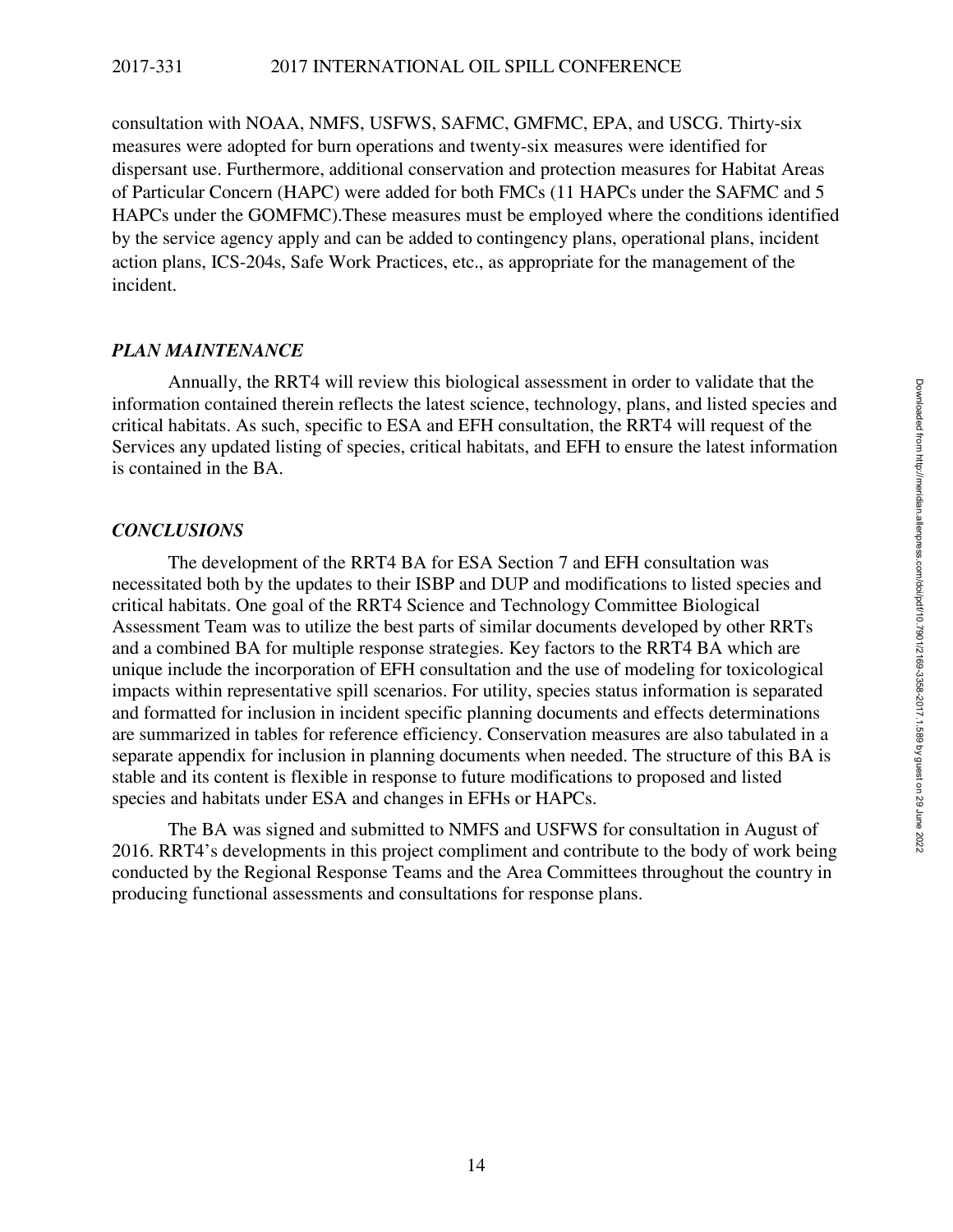consultation with NOAA, NMFS, USFWS, SAFMC, GMFMC, EPA, and USCG. Thirty-six measures were adopted for burn operations and twenty-six measures were identified for dispersant use. Furthermore, additional conservation and protection measures for Habitat Areas of Particular Concern (HAPC) were added for both FMCs (11 HAPCs under the SAFMC and 5 HAPCs under the GOMFMC).These measures must be employed where the conditions identified by the service agency apply and can be added to contingency plans, operational plans, incident action plans, ICS-204s, Safe Work Practices, etc., as appropriate for the management of the incident.

#### *PLAN MAINTENANCE*

Annually, the RRT4 will review this biological assessment in order to validate that the information contained therein reflects the latest science, technology, plans, and listed species and critical habitats. As such, specific to ESA and EFH consultation, the RRT4 will request of the Services any updated listing of species, critical habitats, and EFH to ensure the latest information is contained in the BA.

#### *CONCLUSIONS*

The development of the RRT4 BA for ESA Section 7 and EFH consultation was necessitated both by the updates to their ISBP and DUP and modifications to listed species and critical habitats. One goal of the RRT4 Science and Technology Committee Biological Assessment Team was to utilize the best parts of similar documents developed by other RRTs and a combined BA for multiple response strategies. Key factors to the RRT4 BA which are unique include the incorporation of EFH consultation and the use of modeling for toxicological impacts within representative spill scenarios. For utility, species status information is separated and formatted for inclusion in incident specific planning documents and effects determinations are summarized in tables for reference efficiency. Conservation measures are also tabulated in a separate appendix for inclusion in planning documents when needed. The structure of this BA is stable and its content is flexible in response to future modifications to proposed and listed species and habitats under ESA and changes in EFHs or HAPCs.

The BA was signed and submitted to NMFS and USFWS for consultation in August of 2016. RRT4's developments in this project compliment and contribute to the body of work being conducted by the Regional Response Teams and the Area Committees throughout the country in producing functional assessments and consultations for response plans.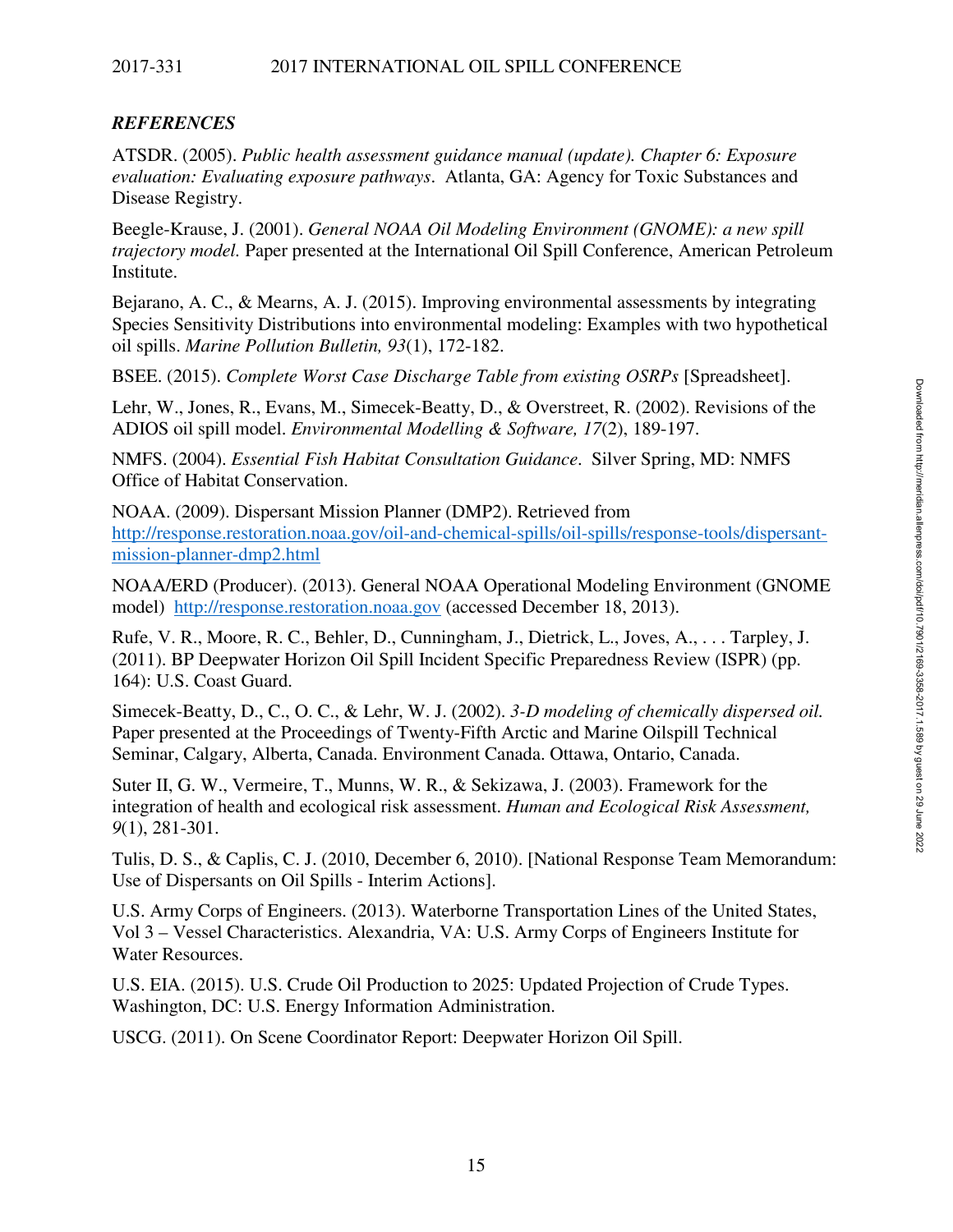### 2017-331 2017 INTERNATIONAL OIL SPILL CONFERENCE

## *REFERENCES*

ATSDR. (2005). *Public health assessment guidance manual (update). Chapter 6: Exposure evaluation: Evaluating exposure pathways*. Atlanta, GA: Agency for Toxic Substances and Disease Registry.

Beegle-Krause, J. (2001). *General NOAA Oil Modeling Environment (GNOME): a new spill trajectory model.* Paper presented at the International Oil Spill Conference, American Petroleum Institute.

Bejarano, A. C., & Mearns, A. J. (2015). Improving environmental assessments by integrating Species Sensitivity Distributions into environmental modeling: Examples with two hypothetical oil spills. *Marine Pollution Bulletin, 93*(1), 172-182.

BSEE. (2015). *Complete Worst Case Discharge Table from existing OSRPs* [Spreadsheet].

Lehr, W., Jones, R., Evans, M., Simecek-Beatty, D., & Overstreet, R. (2002). Revisions of the ADIOS oil spill model. *Environmental Modelling & Software, 17*(2), 189-197.

NMFS. (2004). *Essential Fish Habitat Consultation Guidance*. Silver Spring, MD: NMFS Office of Habitat Conservation.

NOAA. (2009). Dispersant Mission Planner (DMP2). Retrieved from http://response.restoration.noaa.gov/oil-and-chemical-spills/oil-spills/response-tools/dispersantmission-planner-dmp2.html

NOAA/ERD (Producer). (2013). General NOAA Operational Modeling Environment (GNOME model) http://response.restoration.noaa.gov (accessed December 18, 2013).

Rufe, V. R., Moore, R. C., Behler, D., Cunningham, J., Dietrick, L., Joves, A., . . . Tarpley, J. (2011). BP Deepwater Horizon Oil Spill Incident Specific Preparedness Review (ISPR) (pp. 164): U.S. Coast Guard.

Simecek-Beatty, D., C., O. C., & Lehr, W. J. (2002). *3-D modeling of chemically dispersed oil.* Paper presented at the Proceedings of Twenty-Fifth Arctic and Marine Oilspill Technical Seminar, Calgary, Alberta, Canada. Environment Canada. Ottawa, Ontario, Canada.

Suter II, G. W., Vermeire, T., Munns, W. R., & Sekizawa, J. (2003). Framework for the integration of health and ecological risk assessment. *Human and Ecological Risk Assessment, 9*(1), 281-301.

Tulis, D. S., & Caplis, C. J. (2010, December 6, 2010). [National Response Team Memorandum: Use of Dispersants on Oil Spills - Interim Actions].

U.S. Army Corps of Engineers. (2013). Waterborne Transportation Lines of the United States, Vol 3 – Vessel Characteristics. Alexandria, VA: U.S. Army Corps of Engineers Institute for Water Resources.

U.S. EIA. (2015). U.S. Crude Oil Production to 2025: Updated Projection of Crude Types. Washington, DC: U.S. Energy Information Administration.

USCG. (2011). On Scene Coordinator Report: Deepwater Horizon Oil Spill.